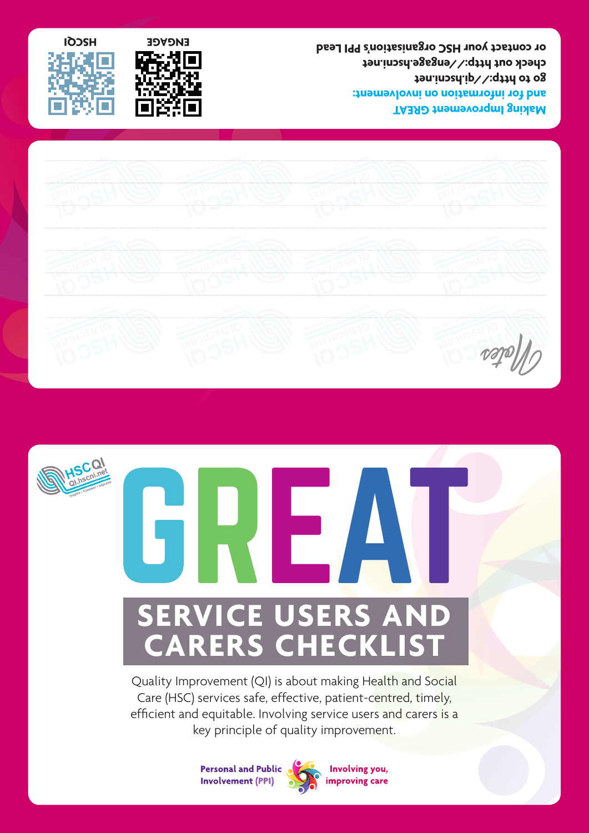

**go to http://qi.hscni.net**

**check out http://engage.hscni.net**

**or contact your HSC organisation's PPI Lead**







## GREAT **SERVICE USERS AND CARERS CHECKLIST**

Quality Improvement (QI) is about making Health and Social Care (HSC) services safe, effective, patient-centred, timely, efficient and equitable. Involving service users and carers is a key principle of quality improvement.

> **Personal and Public Involvement (PPI)**



Involving you, improving care